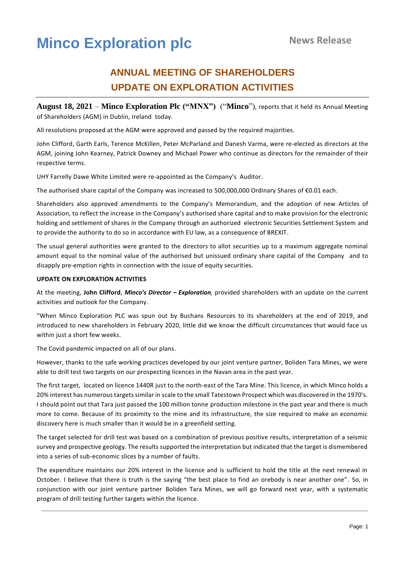# **Minco Exploration plc**

# **ANNUAL MEETING OF SHAREHOLDERS UPDATE ON EXPLORATION ACTIVITIES**

**August 18, 2021** – **Minco Exploration Plc ("MNX")** ("**Minco**"), reports that it held its Annual Meeting of Shareholders (AGM) in Dublin, Ireland today.

All resolutions proposed at the AGM were approved and passed by the required majorities.

John Clifford, Garth Earls, Terence McKillen, Peter McParland and Danesh Varma, were re-elected as directors at the AGM, joining John Kearney, Patrick Downey and Michael Power who continue as directors for the remainder of their respective terms.

UHY Farrelly Dawe White Limited were re-appointed as the Company's Auditor.

The authorised share capital of the Company was increased to 500,000,000 Ordinary Shares of €0.01 each.

Shareholders also approved amendments to the Company's Memorandum, and the adoption of new Articles of Association, to reflect the increase in the Company's authorised share capital and to make provision for the electronic holding and settlement of shares in the Company through an authorized electronic Securities Settlement System and to provide the authority to do so in accordance with EU law, as a consequence of BREXIT.

The usual general authorities were granted to the directors to allot securities up to a maximum aggregate nominal amount equal to the nominal value of the authorised but unissued ordinary share capital of the Company and to disapply pre-emption rights in connection with the issue of equity securities.

# **UPDATE ON EXPLORATION ACTIVITIES**

At the meeting, **John Clifford**, *Minco's Director – Exploration,* provided shareholders with an update on the current activities and outlook for the Company.

"When Minco Exploration PLC was spun out by Buchans Resources to its shareholders at the end of 2019, and introduced to new shareholders in February 2020, little did we know the difficult circumstances that would face us within just a short few weeks.

The Covid pandemic impacted on all of our plans.

However, thanks to the safe working practices developed by our joint venture partner, Boliden Tara Mines, we were able to drill test two targets on our prospecting licences in the Navan area in the past year.

The first target, located on licence 1440R just to the north-east of the Tara Mine. This licence, in which Minco holds a 20% interest has numerous targets similar in scale to the small Tatestown Prospect which was discovered in the 1970's. I should point out that Tara just passed the 100 million tonne production milestone in the past year and there is much more to come. Because of its proximity to the mine and its infrastructure, the size required to make an economic discovery here is much smaller than it would be in a greenfield setting.

The target selected for drill test was based on a combination of previous positive results, interpretation of a seismic survey and prospective geology. The results supported the interpretation but indicated that the target is dismembered into a series of sub-economic slices by a number of faults.

The expenditure maintains our 20% interest in the licence and is sufficient to hold the title at the next renewal in October. I believe that there is truth is the saying "the best place to find an orebody is near another one" . So, in conjunction with our joint venture partner Boliden Tara Mines, we will go forward next year, with a systematic program of drill testing further targets within the licence.

\_\_\_\_\_\_\_\_\_\_\_\_\_\_\_\_\_\_\_\_\_\_\_\_\_\_\_\_\_\_\_\_\_\_\_\_\_\_\_\_\_\_\_\_\_\_\_\_\_\_\_\_\_\_\_\_\_\_\_\_\_\_\_\_\_\_\_\_\_\_\_\_\_\_\_\_\_\_\_\_\_\_\_\_\_\_\_\_\_\_\_\_\_\_\_\_\_\_\_\_\_\_\_\_\_\_\_\_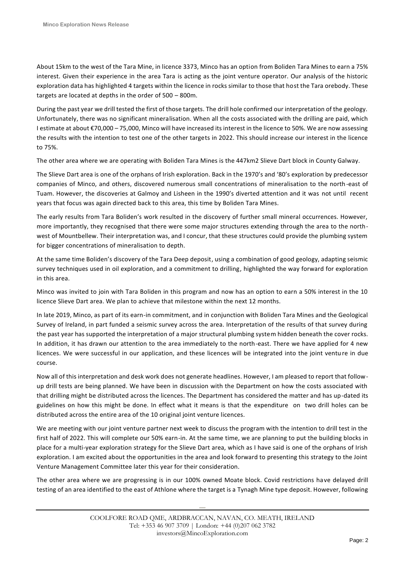About 15km to the west of the Tara Mine, in licence 3373, Minco has an option from Boliden Tara Mines to earn a 75% interest. Given their experience in the area Tara is acting as the joint venture operator. Our analysis of the historic exploration data has highlighted 4 targets within the licence in rocks similar to those that host the Tara orebody. These targets are located at depths in the order of 500 – 800m.

During the past year we drill tested the first of those targets. The drill hole confirmed our interpretation of the geology. Unfortunately, there was no significant mineralisation. When all the costs associated with the drilling are paid, which I estimate at about €70,000 – 75,000, Minco will have increased its interest in the licence to 50%. We are now assessing the results with the intention to test one of the other targets in 2022. This should increase our interest in the licence to 75%.

The other area where we are operating with Boliden Tara Mines is the 447km2 Slieve Dart block in County Galway.

The Slieve Dart area is one of the orphans of Irish exploration. Back in the 1970's and '80's exploration by predecessor companies of Minco, and others, discovered numerous small concentrations of mineralisation to the north -east of Tuam. However, the discoveries at Galmoy and Lisheen in the 1990's diverted attention and it was not until recent years that focus was again directed back to this area, this time by Boliden Tara Mines.

The early results from Tara Boliden's work resulted in the discovery of further small mineral occurrences. However, more importantly, they recognised that there were some major structures extending through the area to the northwest of Mountbellew. Their interpretation was, and I concur, that these structures could provide the plumbing system for bigger concentrations of mineralisation to depth.

At the same time Boliden's discovery of the Tara Deep deposit, using a combination of good geology, adapting seismic survey techniques used in oil exploration, and a commitment to drilling, highlighted the way forward for exploration in this area.

Minco was invited to join with Tara Boliden in this program and now has an option to earn a 50% interest in the 10 licence Slieve Dart area. We plan to achieve that milestone within the next 12 months.

In late 2019, Minco, as part of its earn-in commitment, and in conjunction with Boliden Tara Mines and the Geological Survey of Ireland, in part funded a seismic survey across the area. Interpretation of the results of that survey during the past year has supported the interpretation of a major structural plumbing system hidden beneath the cover rocks. In addition, it has drawn our attention to the area immediately to the north-east. There we have applied for 4 new licences. We were successful in our application, and these licences will be integrated into the joint ventu re in due course.

Now all of this interpretation and desk work does not generate headlines. However, I am pleased to report that followup drill tests are being planned. We have been in discussion with the Department on how the costs associated with that drilling might be distributed across the licences. The Department has considered the matter and has up-dated its guidelines on how this might be done. In effect what it means is that the expenditure on two drill holes can be distributed across the entire area of the 10 original joint venture licences.

We are meeting with our joint venture partner next week to discuss the program with the intention to drill test in the first half of 2022. This will complete our 50% earn-in. At the same time, we are planning to put the building blocks in place for a multi-year exploration strategy for the Slieve Dart area, which as I have said is one of the orphans of Irish exploration. I am excited about the opportunities in the area and look forward to presenting this strategy to the Joint Venture Management Committee later this year for their consideration.

The other area where we are progressing is in our 100% owned Moate block. Covid restrictions have delayed drill testing of an area identified to the east of Athlone where the target is a Tynagh Mine type deposit. However, following

 $\overline{\phantom{a}}$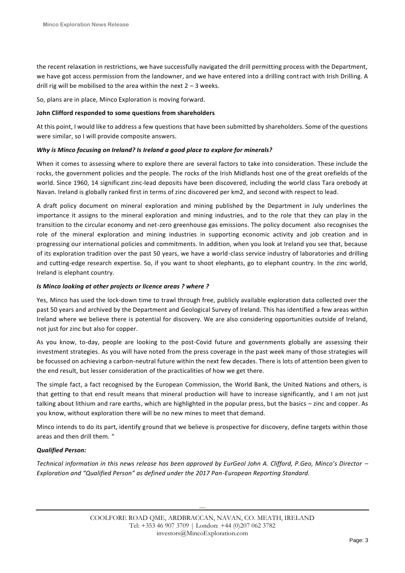the recent relaxation in restrictions, we have successfully navigated the drill permitting process with the Department, we have got access permission from the landowner, and we have entered into a drilling contract with Irish Drilling. A drill rig will be mobilised to the area within the next  $2 - 3$  weeks.

So, plans are in place, Minco Exploration is moving forward.

# **John Clifford responded to some questions from shareholders**

At this point, I would like to address a few questions that have been submitted by shareholders. Some of the questions were similar, so I will provide composite answers.

# *Why is Minco focusing on Ireland? Is Ireland a good place to explore for minerals?*

When it comes to assessing where to explore there are several factors to take into consideration. These include the rocks, the government policies and the people. The rocks of the Irish Midlands host one of the great orefields of the world. Since 1960, 14 significant zinc-lead deposits have been discovered, including the world class Tara orebody at Navan. Ireland is globally ranked first in terms of zinc discovered per km2, and second with respect to lead.

A draft policy document on mineral exploration and mining published by the Department in July underlines the importance it assigns to the mineral exploration and mining industries, and to the role that they can play in the transition to the circular economy and net-zero greenhouse gas emissions. The policy document also recognises the role of the mineral exploration and mining industries in supporting economic activity and job creation and in progressing our international policies and commitments. In addition, when you look at Ireland you see that, because of its exploration tradition over the past 50 years, we have a world-class service industry of laboratories and drilling and cutting-edge research expertise. So, if you want to shoot elephants, go to elephant country. In the zinc world, Ireland is elephant country.

# *Is Minco looking at other projects or licence areas ? where ?*

Yes, Minco has used the lock-down time to trawl through free, publicly available exploration data collected over the past 50 years and archived by the Department and Geological Survey of Ireland. This has identified a few areas within Ireland where we believe there is potential for discovery. We are also considering opportunities outside of Ireland, not just for zinc but also for copper.

As you know, to-day, people are looking to the post-Covid future and governments globally are assessing their investment strategies. As you will have noted from the press coverage in the past week many of those strategies will be focussed on achieving a carbon-neutral future within the next few decades. There is lots of attention been given to the end result, but lesser consideration of the practicalities of how we get there.

The simple fact, a fact recognised by the European Commission, the World Bank, the United Nations and others, is that getting to that end result means that mineral production will have to increase significantly, and I am not just talking about lithium and rare earths, which are highlighted in the popular press, but the basics – zinc and copper. As you know, without exploration there will be no new mines to meet that demand.

Minco intends to do its part, identify ground that we believe is prospective for discovery, define targets within those areas and then drill them. "

# *Qualified Person:*

*Technical information in this news release has been approved by EurGeol John A. Clifford, P.Geo, Minco's Director – Exploration and "Qualified Person" as defined under the 2017 Pan-European Reporting Standard.* 

 $\overline{\phantom{a}}$